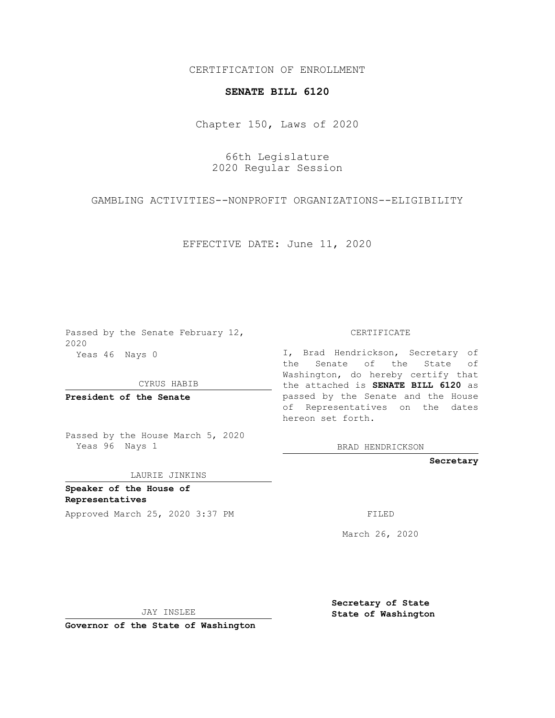## CERTIFICATION OF ENROLLMENT

## **SENATE BILL 6120**

Chapter 150, Laws of 2020

66th Legislature 2020 Regular Session

GAMBLING ACTIVITIES--NONPROFIT ORGANIZATIONS--ELIGIBILITY

EFFECTIVE DATE: June 11, 2020

Passed by the Senate February 12, 2020 Yeas 46 Nays 0

CYRUS HABIB

**President of the Senate**

Passed by the House March 5, 2020 Yeas 96 Nays 1

LAURIE JINKINS

**Speaker of the House of Representatives**

Approved March 25, 2020 3:37 PM

CERTIFICATE

I, Brad Hendrickson, Secretary of the Senate of the State of Washington, do hereby certify that the attached is **SENATE BILL 6120** as passed by the Senate and the House of Representatives on the dates hereon set forth.

BRAD HENDRICKSON

**Secretary**

March 26, 2020

JAY INSLEE

**Governor of the State of Washington**

**Secretary of State State of Washington**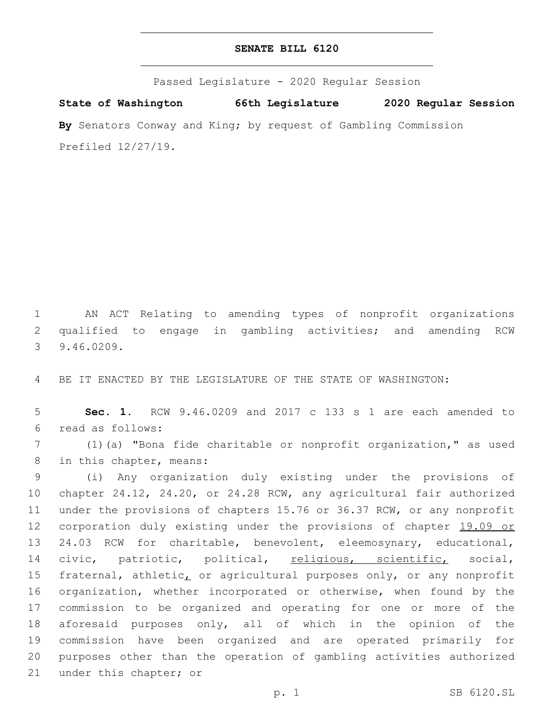## **SENATE BILL 6120**

Passed Legislature - 2020 Regular Session **State of Washington 66th Legislature 2020 Regular Session By** Senators Conway and King; by request of Gambling Commission Prefiled 12/27/19.

1 AN ACT Relating to amending types of nonprofit organizations 2 qualified to engage in gambling activities; and amending RCW 9.46.0209.3

4 BE IT ENACTED BY THE LEGISLATURE OF THE STATE OF WASHINGTON:

5 **Sec. 1.** RCW 9.46.0209 and 2017 c 133 s 1 are each amended to read as follows:6

7 (1)(a) "Bona fide charitable or nonprofit organization," as used 8 in this chapter, means:

 (i) Any organization duly existing under the provisions of chapter 24.12, 24.20, or 24.28 RCW, any agricultural fair authorized under the provisions of chapters 15.76 or 36.37 RCW, or any nonprofit 12 corporation duly existing under the provisions of chapter 19.09 or 24.03 RCW for charitable, benevolent, eleemosynary, educational, civic, patriotic, political, religious, scientific, social, 15 fraternal, athletic, or agricultural purposes only, or any nonprofit organization, whether incorporated or otherwise, when found by the commission to be organized and operating for one or more of the aforesaid purposes only, all of which in the opinion of the commission have been organized and are operated primarily for purposes other than the operation of gambling activities authorized 21 under this chapter; or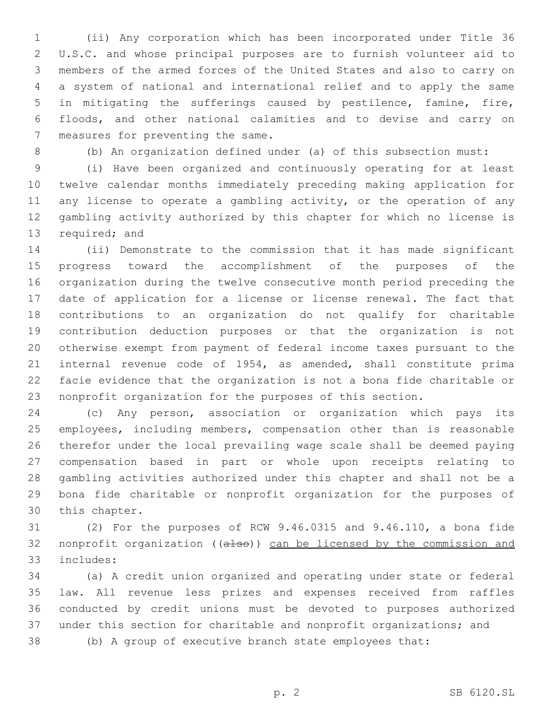(ii) Any corporation which has been incorporated under Title 36 U.S.C. and whose principal purposes are to furnish volunteer aid to members of the armed forces of the United States and also to carry on a system of national and international relief and to apply the same in mitigating the sufferings caused by pestilence, famine, fire, floods, and other national calamities and to devise and carry on 7 measures for preventing the same.

(b) An organization defined under (a) of this subsection must:

 (i) Have been organized and continuously operating for at least twelve calendar months immediately preceding making application for any license to operate a gambling activity, or the operation of any gambling activity authorized by this chapter for which no license is 13 required; and

 (ii) Demonstrate to the commission that it has made significant progress toward the accomplishment of the purposes of the organization during the twelve consecutive month period preceding the date of application for a license or license renewal. The fact that contributions to an organization do not qualify for charitable contribution deduction purposes or that the organization is not otherwise exempt from payment of federal income taxes pursuant to the internal revenue code of 1954, as amended, shall constitute prima facie evidence that the organization is not a bona fide charitable or nonprofit organization for the purposes of this section.

 (c) Any person, association or organization which pays its employees, including members, compensation other than is reasonable therefor under the local prevailing wage scale shall be deemed paying compensation based in part or whole upon receipts relating to gambling activities authorized under this chapter and shall not be a bona fide charitable or nonprofit organization for the purposes of 30 this chapter.

 (2) For the purposes of RCW 9.46.0315 and 9.46.110, a bona fide 32 nonprofit organization ((also)) can be licensed by the commission and includes:33

 (a) A credit union organized and operating under state or federal law. All revenue less prizes and expenses received from raffles conducted by credit unions must be devoted to purposes authorized under this section for charitable and nonprofit organizations; and

(b) A group of executive branch state employees that: